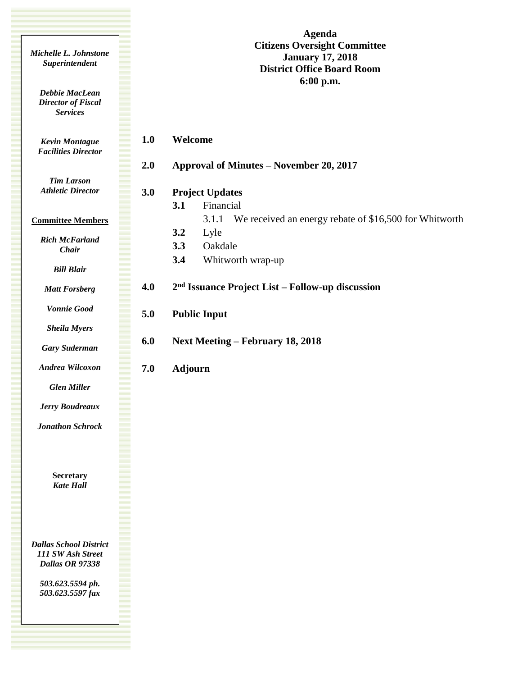| Michelle L. Johnstone<br>Superintendent                               |     | <b>Agenda</b><br><b>Citizens Oversight Committee</b><br><b>January 17, 2018</b><br><b>District Office Board Room</b><br>6:00 p.m. |  |  |  |  |  |
|-----------------------------------------------------------------------|-----|-----------------------------------------------------------------------------------------------------------------------------------|--|--|--|--|--|
| <b>Debbie MacLean</b><br><b>Director of Fiscal</b><br><b>Services</b> |     |                                                                                                                                   |  |  |  |  |  |
| <b>Kevin Montague</b><br><b>Facilities Director</b>                   | 1.0 | Welcome                                                                                                                           |  |  |  |  |  |
|                                                                       | 2.0 | Approval of Minutes – November 20, 2017                                                                                           |  |  |  |  |  |
| <b>Tim Larson</b><br><b>Athletic Director</b>                         | 3.0 | <b>Project Updates</b><br>3.1<br>Financial                                                                                        |  |  |  |  |  |
| <b>Committee Members</b>                                              |     | We received an energy rebate of \$16,500 for Whitworth<br>3.1.1                                                                   |  |  |  |  |  |
| <b>Rich McFarland</b><br>Chair                                        |     | 3.2<br>Lyle<br>3.3<br>Oakdale                                                                                                     |  |  |  |  |  |
| <b>Bill Blair</b>                                                     |     | 3.4<br>Whitworth wrap-up                                                                                                          |  |  |  |  |  |
| <b>Matt Forsberg</b>                                                  | 4.0 | 2 <sup>nd</sup> Issuance Project List – Follow-up discussion                                                                      |  |  |  |  |  |
| <b>Vonnie Good</b>                                                    | 5.0 | <b>Public Input</b>                                                                                                               |  |  |  |  |  |
| <b>Sheila Myers</b>                                                   |     |                                                                                                                                   |  |  |  |  |  |
| <b>Gary Suderman</b>                                                  | 6.0 | <b>Next Meeting – February 18, 2018</b>                                                                                           |  |  |  |  |  |
| Andrea Wilcoxon                                                       | 7.0 | <b>Adjourn</b>                                                                                                                    |  |  |  |  |  |
| <b>Glen Miller</b>                                                    |     |                                                                                                                                   |  |  |  |  |  |
| <b>Jerry Boudreaux</b>                                                |     |                                                                                                                                   |  |  |  |  |  |
| <b>Jonathon Schrock</b>                                               |     |                                                                                                                                   |  |  |  |  |  |
| Secretary<br><b>Kate Hall</b>                                         |     |                                                                                                                                   |  |  |  |  |  |
| <b>Dallas School District</b><br>111 SW Ash Street                    |     |                                                                                                                                   |  |  |  |  |  |

*503.623.5594 ph. 503.623.5597 fax*

*Dallas OR 97338*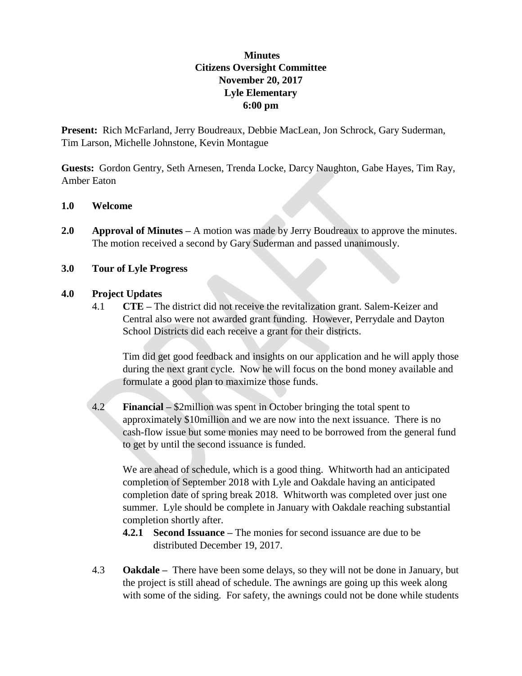# **Minutes Citizens Oversight Committee November 20, 2017 Lyle Elementary 6:00 pm**

**Present:** Rich McFarland, Jerry Boudreaux, Debbie MacLean, Jon Schrock, Gary Suderman, Tim Larson, Michelle Johnstone, Kevin Montague

**Guests:** Gordon Gentry, Seth Arnesen, Trenda Locke, Darcy Naughton, Gabe Hayes, Tim Ray, Amber Eaton

#### **1.0 Welcome**

**2.0 Approval of Minutes –** A motion was made by Jerry Boudreaux to approve the minutes. The motion received a second by Gary Suderman and passed unanimously.

## **3.0 Tour of Lyle Progress**

## **4.0 Project Updates**

4.1 **CTE –** The district did not receive the revitalization grant. Salem-Keizer and Central also were not awarded grant funding. However, Perrydale and Dayton School Districts did each receive a grant for their districts.

Tim did get good feedback and insights on our application and he will apply those during the next grant cycle. Now he will focus on the bond money available and formulate a good plan to maximize those funds.

4.2 **Financial –** \$2million was spent in October bringing the total spent to approximately \$10million and we are now into the next issuance. There is no cash-flow issue but some monies may need to be borrowed from the general fund to get by until the second issuance is funded.

We are ahead of schedule, which is a good thing. Whitworth had an anticipated completion of September 2018 with Lyle and Oakdale having an anticipated completion date of spring break 2018. Whitworth was completed over just one summer. Lyle should be complete in January with Oakdale reaching substantial completion shortly after.

- **4.2.1 Second Issuance –** The monies for second issuance are due to be distributed December 19, 2017.
- 4.3 **Oakdale –** There have been some delays, so they will not be done in January, but the project is still ahead of schedule. The awnings are going up this week along with some of the siding. For safety, the awnings could not be done while students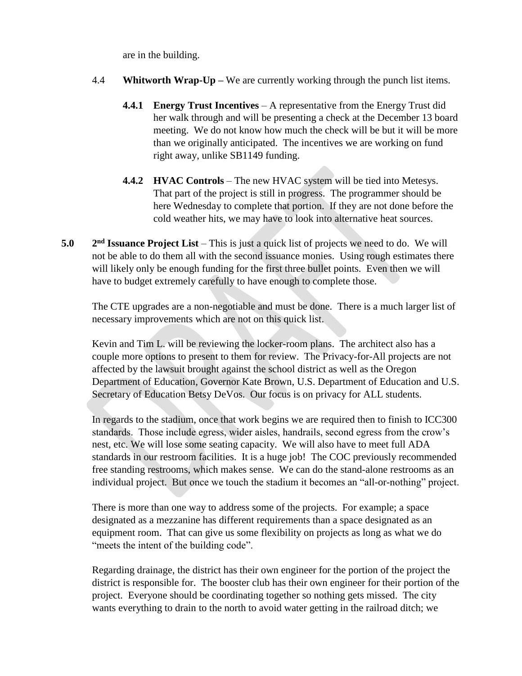are in the building.

- 4.4 **Whitworth Wrap-Up –** We are currently working through the punch list items.
	- **4.4.1 Energy Trust Incentives** A representative from the Energy Trust did her walk through and will be presenting a check at the December 13 board meeting. We do not know how much the check will be but it will be more than we originally anticipated. The incentives we are working on fund right away, unlike SB1149 funding.
	- **4.4.2 HVAC Controls** The new HVAC system will be tied into Metesys. That part of the project is still in progress. The programmer should be here Wednesday to complete that portion. If they are not done before the cold weather hits, we may have to look into alternative heat sources.
- **5.0 2** 2<sup>nd</sup> **Issuance Project List** – This is just a quick list of projects we need to do. We will not be able to do them all with the second issuance monies. Using rough estimates there will likely only be enough funding for the first three bullet points. Even then we will have to budget extremely carefully to have enough to complete those.

The CTE upgrades are a non-negotiable and must be done. There is a much larger list of necessary improvements which are not on this quick list.

Kevin and Tim L. will be reviewing the locker-room plans. The architect also has a couple more options to present to them for review. The Privacy-for-All projects are not affected by the lawsuit brought against the school district as well as the Oregon Department of Education, Governor Kate Brown, U.S. Department of Education and U.S. Secretary of Education Betsy DeVos. Our focus is on privacy for ALL students.

In regards to the stadium, once that work begins we are required then to finish to ICC300 standards. Those include egress, wider aisles, handrails, second egress from the crow's nest, etc. We will lose some seating capacity. We will also have to meet full ADA standards in our restroom facilities. It is a huge job! The COC previously recommended free standing restrooms, which makes sense. We can do the stand-alone restrooms as an individual project. But once we touch the stadium it becomes an "all-or-nothing" project.

There is more than one way to address some of the projects. For example; a space designated as a mezzanine has different requirements than a space designated as an equipment room. That can give us some flexibility on projects as long as what we do "meets the intent of the building code".

Regarding drainage, the district has their own engineer for the portion of the project the district is responsible for. The booster club has their own engineer for their portion of the project. Everyone should be coordinating together so nothing gets missed. The city wants everything to drain to the north to avoid water getting in the railroad ditch; we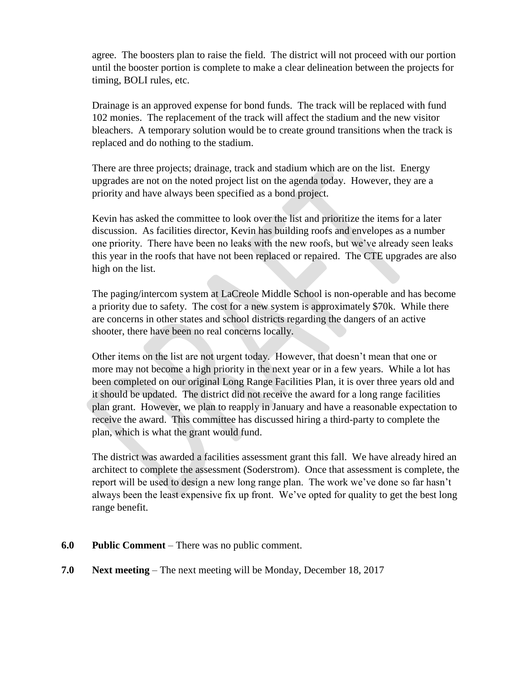agree. The boosters plan to raise the field. The district will not proceed with our portion until the booster portion is complete to make a clear delineation between the projects for timing, BOLI rules, etc.

Drainage is an approved expense for bond funds. The track will be replaced with fund 102 monies. The replacement of the track will affect the stadium and the new visitor bleachers. A temporary solution would be to create ground transitions when the track is replaced and do nothing to the stadium.

There are three projects; drainage, track and stadium which are on the list. Energy upgrades are not on the noted project list on the agenda today. However, they are a priority and have always been specified as a bond project.

Kevin has asked the committee to look over the list and prioritize the items for a later discussion. As facilities director, Kevin has building roofs and envelopes as a number one priority. There have been no leaks with the new roofs, but we've already seen leaks this year in the roofs that have not been replaced or repaired. The CTE upgrades are also high on the list.

The paging/intercom system at LaCreole Middle School is non-operable and has become a priority due to safety. The cost for a new system is approximately \$70k. While there are concerns in other states and school districts regarding the dangers of an active shooter, there have been no real concerns locally.

Other items on the list are not urgent today. However, that doesn't mean that one or more may not become a high priority in the next year or in a few years. While a lot has been completed on our original Long Range Facilities Plan, it is over three years old and it should be updated. The district did not receive the award for a long range facilities plan grant. However, we plan to reapply in January and have a reasonable expectation to receive the award. This committee has discussed hiring a third-party to complete the plan, which is what the grant would fund.

The district was awarded a facilities assessment grant this fall. We have already hired an architect to complete the assessment (Soderstrom). Once that assessment is complete, the report will be used to design a new long range plan. The work we've done so far hasn't always been the least expensive fix up front. We've opted for quality to get the best long range benefit.

- **6.0 Public Comment** There was no public comment.
- **7.0 Next meeting** The next meeting will be Monday, December 18, 2017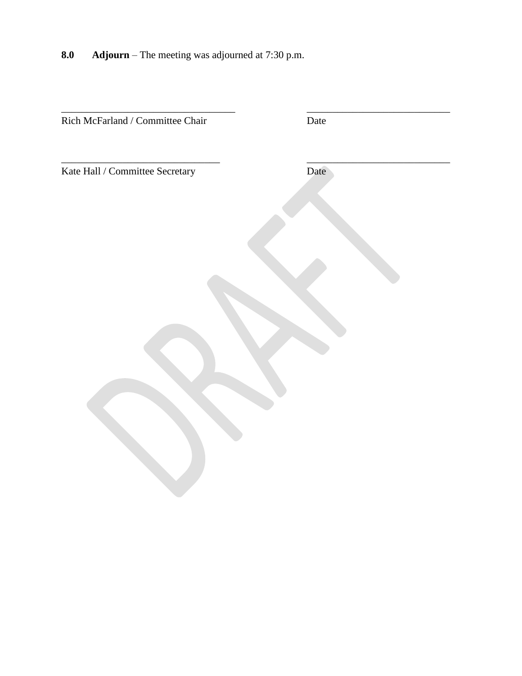**8.0 Adjourn** – The meeting was adjourned at 7:30 p.m.

| Rich McFarland / Committee Chair | Date |
|----------------------------------|------|
|                                  |      |
| Kate Hall / Committee Secretary  | Date |
|                                  |      |
|                                  |      |
|                                  |      |
|                                  |      |
|                                  |      |
|                                  |      |
|                                  |      |
|                                  |      |
|                                  |      |
|                                  |      |
|                                  |      |
|                                  |      |